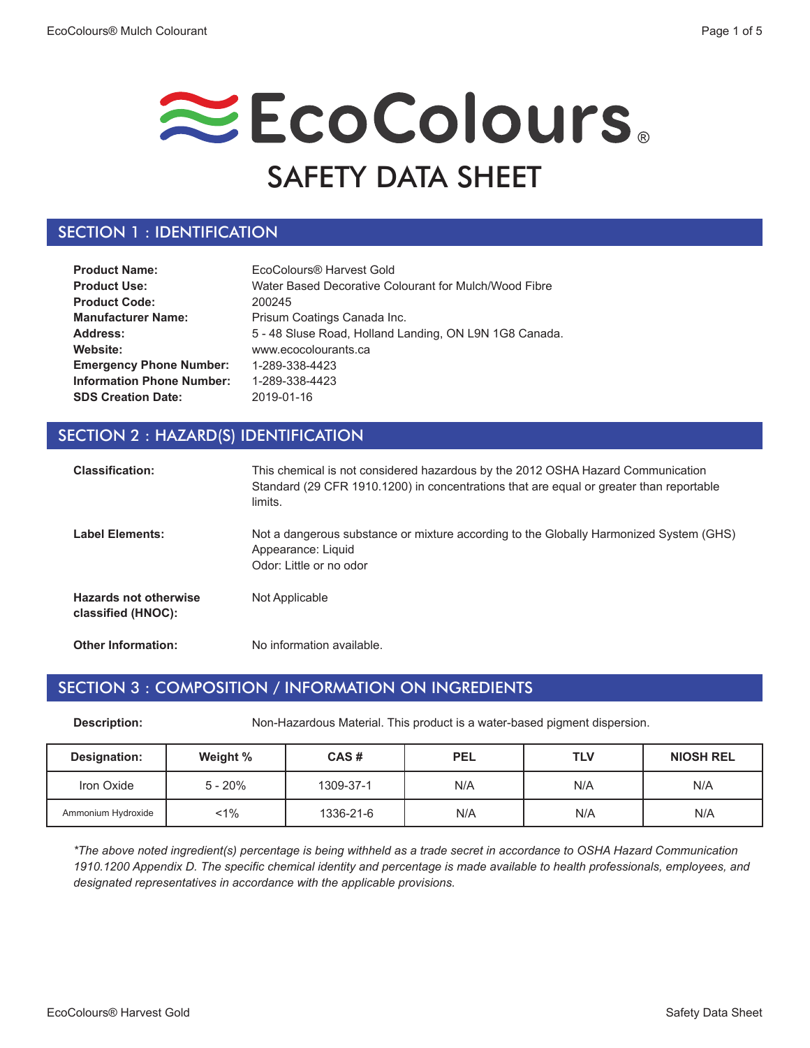# EcoColours. SAFETY DATA SHEET

### SECTION 1 : IDENTIFICATION

| <b>Product Name:</b>             | EcoColours® Harvest Gold                               |
|----------------------------------|--------------------------------------------------------|
| <b>Product Use:</b>              | Water Based Decorative Colourant for Mulch/Wood Fibre  |
| <b>Product Code:</b>             | 200245                                                 |
| <b>Manufacturer Name:</b>        | Prisum Coatings Canada Inc.                            |
| Address:                         | 5 - 48 Sluse Road, Holland Landing, ON L9N 1G8 Canada. |
| Website:                         | www.ecocolourants.ca                                   |
| <b>Emergency Phone Number:</b>   | 1-289-338-4423                                         |
| <b>Information Phone Number:</b> | 1-289-338-4423                                         |
| <b>SDS Creation Date:</b>        | 2019-01-16                                             |

### SECTION 2 : HAZARD(S) IDENTIFICATION

| <b>Classification:</b>                             | This chemical is not considered hazardous by the 2012 OSHA Hazard Communication<br>Standard (29 CFR 1910.1200) in concentrations that are equal or greater than reportable<br>limits. |
|----------------------------------------------------|---------------------------------------------------------------------------------------------------------------------------------------------------------------------------------------|
| <b>Label Elements:</b>                             | Not a dangerous substance or mixture according to the Globally Harmonized System (GHS)<br>Appearance: Liquid<br>Odor: Little or no odor                                               |
| <b>Hazards not otherwise</b><br>classified (HNOC): | Not Applicable                                                                                                                                                                        |
| <b>Other Information:</b>                          | No information available.                                                                                                                                                             |

#### SECTION 3 : COMPOSITION / INFORMATION ON INGREDIENTS

**Description:** Non-Hazardous Material. This product is a water-based pigment dispersion.

| <b>Designation:</b> | Weight %  | CAS#      | <b>PEL</b> | <b>TLV</b> | <b>NIOSH REL</b> |
|---------------------|-----------|-----------|------------|------------|------------------|
| Iron Oxide          | $5 - 20%$ | 1309-37-1 | N/A        | N/A        | N/A              |
| Ammonium Hydroxide  | $1\%$     | 1336-21-6 | N/A        | N/A        | N/A              |

*\*The above noted ingredient(s) percentage is being withheld as a trade secret in accordance to OSHA Hazard Communication 1910.1200 Appendix D. The specific chemical identity and percentage is made available to health professionals, employees, and designated representatives in accordance with the applicable provisions.*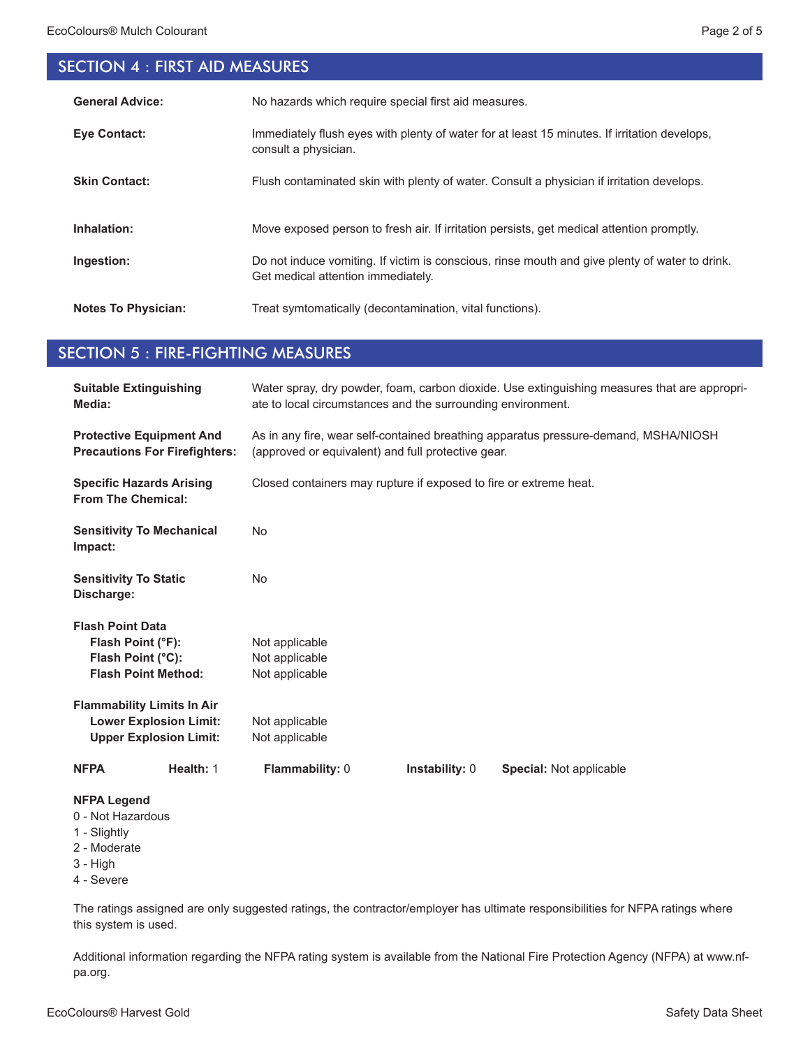# SECTION 4 : FIRST AID MEASURES

| <b>General Advice:</b>     | No hazards which require special first aid measures.                                                                                 |
|----------------------------|--------------------------------------------------------------------------------------------------------------------------------------|
| <b>Eve Contact:</b>        | Immediately flush eyes with plenty of water for at least 15 minutes. If irritation develops,<br>consult a physician.                 |
| <b>Skin Contact:</b>       | Flush contaminated skin with plenty of water. Consult a physician if irritation develops.                                            |
| Inhalation:                | Move exposed person to fresh air. If irritation persists, get medical attention promptly.                                            |
| Ingestion:                 | Do not induce vomiting. If victim is conscious, rinse mouth and give plenty of water to drink.<br>Get medical attention immediately. |
| <b>Notes To Physician:</b> | Treat symtomatically (decontamination, vital functions).                                                                             |

#### SECTION 5 : FIRE-FIGHTING MEASURES

| <b>Suitable Extinguishing</b><br>Media:                                                             | Water spray, dry powder, foam, carbon dioxide. Use extinguishing measures that are appropri-<br>ate to local circumstances and the surrounding environment. |  |  |
|-----------------------------------------------------------------------------------------------------|-------------------------------------------------------------------------------------------------------------------------------------------------------------|--|--|
| <b>Protective Equipment And</b><br><b>Precautions For Firefighters:</b>                             | As in any fire, wear self-contained breathing apparatus pressure-demand, MSHA/NIOSH<br>(approved or equivalent) and full protective gear.                   |  |  |
| <b>Specific Hazards Arising</b><br><b>From The Chemical:</b>                                        | Closed containers may rupture if exposed to fire or extreme heat.                                                                                           |  |  |
| <b>Sensitivity To Mechanical</b><br>Impact:                                                         | <b>No</b>                                                                                                                                                   |  |  |
| <b>Sensitivity To Static</b><br>Discharge:                                                          | <b>No</b>                                                                                                                                                   |  |  |
| <b>Flash Point Data</b><br>Flash Point (°F):<br>Flash Point (°C):<br><b>Flash Point Method:</b>     | Not applicable<br>Not applicable<br>Not applicable                                                                                                          |  |  |
| <b>Flammability Limits In Air</b><br><b>Lower Explosion Limit:</b><br><b>Upper Explosion Limit:</b> | Not applicable<br>Not applicable                                                                                                                            |  |  |
| Health: 1<br><b>NFPA</b>                                                                            | Flammability: 0<br>Instability: 0<br>Special: Not applicable                                                                                                |  |  |
| <b>NFPA Legend</b><br>0 - Not Hazardous<br>1 - Slightly<br>2 - Moderate<br>$3 - High$<br>4 - Severe |                                                                                                                                                             |  |  |

The ratings assigned are only suggested ratings, the contractor/employer has ultimate responsibilities for NFPA ratings where this system is used.

Additional information regarding the NFPA rating system is available from the National Fire Protection Agency (NFPA) at www.nfpa.org.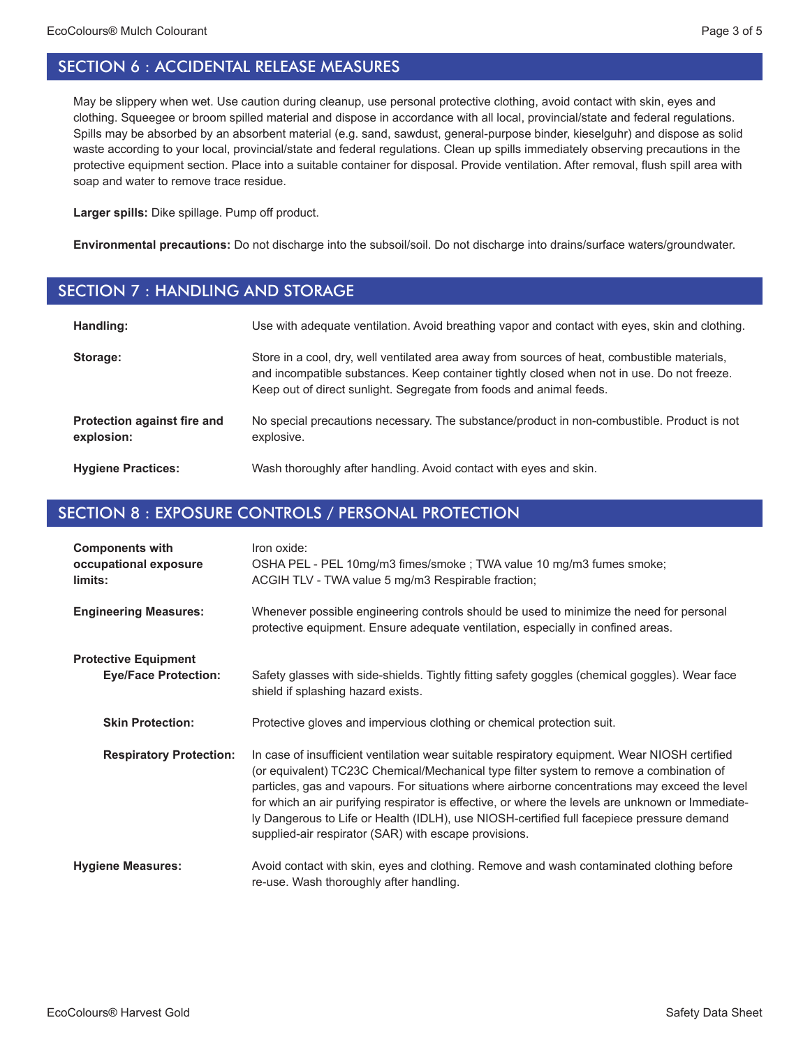May be slippery when wet. Use caution during cleanup, use personal protective clothing, avoid contact with skin, eyes and clothing. Squeegee or broom spilled material and dispose in accordance with all local, provincial/state and federal regulations. Spills may be absorbed by an absorbent material (e.g. sand, sawdust, general-purpose binder, kieselguhr) and dispose as solid waste according to your local, provincial/state and federal regulations. Clean up spills immediately observing precautions in the protective equipment section. Place into a suitable container for disposal. Provide ventilation. After removal, flush spill area with soap and water to remove trace residue.

**Larger spills:** Dike spillage. Pump off product.

**Environmental precautions:** Do not discharge into the subsoil/soil. Do not discharge into drains/surface waters/groundwater.

#### SECTION 7 : HANDLING AND STORAGE

| Handling:                                 | Use with adequate ventilation. Avoid breathing vapor and contact with eyes, skin and clothing.                                                                                                                                                                    |
|-------------------------------------------|-------------------------------------------------------------------------------------------------------------------------------------------------------------------------------------------------------------------------------------------------------------------|
| Storage:                                  | Store in a cool, dry, well ventilated area away from sources of heat, combustible materials,<br>and incompatible substances. Keep container tightly closed when not in use. Do not freeze.<br>Keep out of direct sunlight. Segregate from foods and animal feeds. |
| Protection against fire and<br>explosion: | No special precautions necessary. The substance/product in non-combustible. Product is not<br>explosive.                                                                                                                                                          |
| <b>Hygiene Practices:</b>                 | Wash thoroughly after handling. Avoid contact with eyes and skin.                                                                                                                                                                                                 |

# SECTION 8 : EXPOSURE CONTROLS / PERSONAL PROTECTION

| <b>Components with</b><br>occupational exposure<br>limits: | Iron oxide:<br>OSHA PEL - PEL 10mg/m3 fimes/smoke ; TWA value 10 mg/m3 fumes smoke;<br>ACGIH TLV - TWA value 5 mg/m3 Respirable fraction;                                                                                                                                                                                                                                                                                                                                                                                                            |
|------------------------------------------------------------|------------------------------------------------------------------------------------------------------------------------------------------------------------------------------------------------------------------------------------------------------------------------------------------------------------------------------------------------------------------------------------------------------------------------------------------------------------------------------------------------------------------------------------------------------|
| <b>Engineering Measures:</b>                               | Whenever possible engineering controls should be used to minimize the need for personal<br>protective equipment. Ensure adequate ventilation, especially in confined areas.                                                                                                                                                                                                                                                                                                                                                                          |
| <b>Protective Equipment</b><br><b>Eye/Face Protection:</b> | Safety glasses with side-shields. Tightly fitting safety goggles (chemical goggles). Wear face<br>shield if splashing hazard exists.                                                                                                                                                                                                                                                                                                                                                                                                                 |
| <b>Skin Protection:</b>                                    | Protective gloves and impervious clothing or chemical protection suit.                                                                                                                                                                                                                                                                                                                                                                                                                                                                               |
| <b>Respiratory Protection:</b>                             | In case of insufficient ventilation wear suitable respiratory equipment. Wear NIOSH certified<br>(or equivalent) TC23C Chemical/Mechanical type filter system to remove a combination of<br>particles, gas and vapours. For situations where airborne concentrations may exceed the level<br>for which an air purifying respirator is effective, or where the levels are unknown or Immediate-<br>ly Dangerous to Life or Health (IDLH), use NIOSH-certified full facepiece pressure demand<br>supplied-air respirator (SAR) with escape provisions. |
| <b>Hygiene Measures:</b>                                   | Avoid contact with skin, eyes and clothing. Remove and wash contaminated clothing before<br>re-use. Wash thoroughly after handling.                                                                                                                                                                                                                                                                                                                                                                                                                  |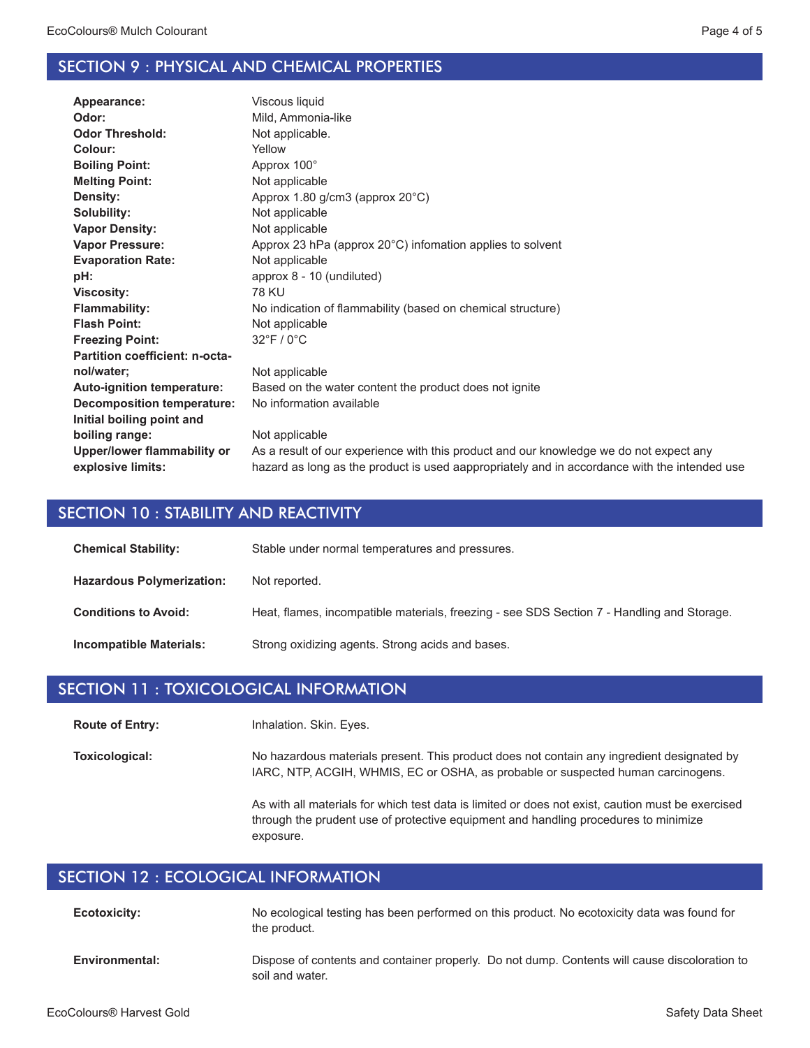#### SECTION 9 : PHYSICAL AND CHEMICAL PROPERTIES

| Appearance:                       | Viscous liquid                                                                               |
|-----------------------------------|----------------------------------------------------------------------------------------------|
| Odor:                             | Mild, Ammonia-like                                                                           |
| <b>Odor Threshold:</b>            | Not applicable.                                                                              |
| Colour:                           | Yellow                                                                                       |
| <b>Boiling Point:</b>             | Approx 100°                                                                                  |
| <b>Melting Point:</b>             | Not applicable                                                                               |
| Density:                          | Approx 1.80 g/cm3 (approx 20°C)                                                              |
| Solubility:                       | Not applicable                                                                               |
| <b>Vapor Density:</b>             | Not applicable                                                                               |
| <b>Vapor Pressure:</b>            | Approx 23 hPa (approx 20°C) infomation applies to solvent                                    |
| <b>Evaporation Rate:</b>          | Not applicable                                                                               |
| pH:                               | approx 8 - 10 (undiluted)                                                                    |
| <b>Viscosity:</b>                 | 78 KU                                                                                        |
| <b>Flammability:</b>              | No indication of flammability (based on chemical structure)                                  |
| <b>Flash Point:</b>               | Not applicable                                                                               |
| <b>Freezing Point:</b>            | $32^{\circ}$ F / 0 $^{\circ}$ C                                                              |
| Partition coefficient: n-octa-    |                                                                                              |
| nol/water;                        | Not applicable                                                                               |
| <b>Auto-ignition temperature:</b> | Based on the water content the product does not ignite                                       |
| <b>Decomposition temperature:</b> | No information available                                                                     |
| Initial boiling point and         |                                                                                              |
| boiling range:                    | Not applicable                                                                               |
| Upper/lower flammability or       | As a result of our experience with this product and our knowledge we do not expect any       |
| explosive limits:                 | hazard as long as the product is used aappropriately and in accordance with the intended use |
|                                   |                                                                                              |

#### SECTION 10 : STABILITY AND REACTIVITY

| <b>Chemical Stability:</b>       | Stable under normal temperatures and pressures.                                            |
|----------------------------------|--------------------------------------------------------------------------------------------|
| <b>Hazardous Polymerization:</b> | Not reported.                                                                              |
| <b>Conditions to Avoid:</b>      | Heat, flames, incompatible materials, freezing - see SDS Section 7 - Handling and Storage. |
| Incompatible Materials:          | Strong oxidizing agents. Strong acids and bases.                                           |

#### SECTION 11 : TOXICOLOGICAL INFORMATION

Inhalation. Skin. Eyes. **Route of Entry:**

No hazardous materials present. This product does not contain any ingredient designated by IARC, NTP, ACGIH, WHMIS, EC or OSHA, as probable or suspected human carcinogens. **Toxicological:**

> As with all materials for which test data is limited or does not exist, caution must be exercised through the prudent use of protective equipment and handling procedures to minimize exposure.

## SECTION 12 : ECOLOGICAL INFORMATION

| Ecotoxicity:         | No ecological testing has been performed on this product. No ecotoxicity data was found for<br>the product. |
|----------------------|-------------------------------------------------------------------------------------------------------------|
| <b>Environmontal</b> | Dispose of contents and container properly. Do not dump. Contents will cause discoloration t                |

Dispose of contents and container properly. Do not dump. Contents will cause discoloration to soil and water. **Environmental:**